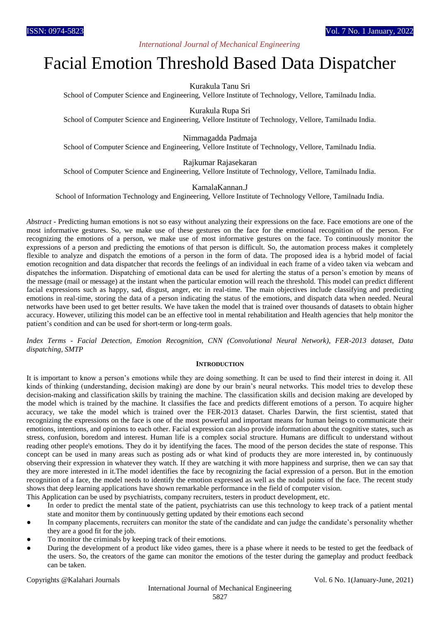# *International Journal of Mechanical Engineering*

# Facial Emotion Threshold Based Data Dispatcher

Kurakula Tanu Sri

School of Computer Science and Engineering, Vellore Institute of Technology, Vellore, Tamilnadu India.

Kurakula Rupa Sri

School of Computer Science and Engineering, Vellore Institute of Technology, Vellore, Tamilnadu India.

Nimmagadda Padmaja

School of Computer Science and Engineering, Vellore Institute of Technology, Vellore, Tamilnadu India.

Rajkumar Rajasekaran

School of Computer Science and Engineering, Vellore Institute of Technology, Vellore, Tamilnadu India.

KamalaKannan.J

School of Information Technology and Engineering, Vellore Institute of Technology Vellore, Tamilnadu India.

*Abstract* - Predicting human emotions is not so easy without analyzing their expressions on the face. Face emotions are one of the most informative gestures. So, we make use of these gestures on the face for the emotional recognition of the person. For recognizing the emotions of a person, we make use of most informative gestures on the face. To continuously monitor the expressions of a person and predicting the emotions of that person is difficult. So, the automation process makes it completely flexible to analyze and dispatch the emotions of a person in the form of data. The proposed idea is a hybrid model of facial emotion recognition and data dispatcher that records the feelings of an individual in each frame of a video taken via webcam and dispatches the information. Dispatching of emotional data can be used for alerting the status of a person's emotion by means of the message (mail or message) at the instant when the particular emotion will reach the threshold. This model can predict different facial expressions such as happy, sad, disgust, anger, etc in real-time. The main objectives include classifying and predicting emotions in real-time, storing the data of a person indicating the status of the emotions, and dispatch data when needed. Neural networks have been used to get better results. We have taken the model that is trained over thousands of datasets to obtain higher accuracy. However, utilizing this model can be an effective tool in mental rehabilitation and Health agencies that help monitor the patient's condition and can be used for short-term or long-term goals.

*Index Terms* - *Facial Detection, Emotion Recognition, CNN (Convolutional Neural Network), FER-2013 dataset, Data dispatching, SMTP*

# **INTRODUCTION**

It is important to know a person's emotions while they are doing something. It can be used to find their interest in doing it. All kinds of thinking (understanding, decision making) are done by our brain's neural networks. This model tries to develop these decision-making and classification skills by training the machine. The classification skills and decision making are developed by the model which is trained by the machine. It classifies the face and predicts different emotions of a person. To acquire higher accuracy, we take the model which is trained over the FER-2013 dataset. Charles Darwin, the first scientist, stated that recognizing the expressions on the face is one of the most powerful and important means for human beings to communicate their emotions, intentions, and opinions to each other. Facial expression can also provide information about the cognitive states, such as stress, confusion, boredom and interest. Human life is a complex social structure. Humans are difficult to understand without reading other people's emotions. They do it by identifying the faces. The mood of the person decides the state of response. This concept can be used in many areas such as posting ads or what kind of products they are more interested in, by continuously observing their expression in whatever they watch. If they are watching it with more happiness and surprise, then we can say that they are more interested in it.The model identifies the face by recognizing the facial expression of a person. But in the emotion recognition of a face, the model needs to identify the emotion expressed as well as the nodal points of the face. The recent study shows that deep learning applications have shown remarkable performance in the field of computer vision.

This Application can be used by psychiatrists, company recruiters, testers in product development, etc.

- In order to predict the mental state of the patient, psychiatrists can use this technology to keep track of a patient mental state and monitor them by continuously getting updated by their emotions each second
- In company placements, recruiters can monitor the state of the candidate and can judge the candidate's personality whether they are a good fit for the job.
- To monitor the criminals by keeping track of their emotions.
- During the development of a product like video games, there is a phase where it needs to be tested to get the feedback of the users. So, the creators of the game can monitor the emotions of the tester during the gameplay and product feedback can be taken.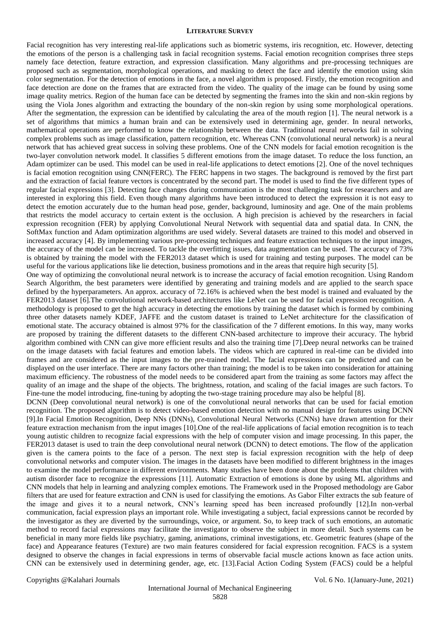#### **LITERATURE SURVEY**

Facial recognition has very interesting real-life applications such as biometric systems, iris recognition, etc. However, detecting the emotions of the person is a challenging task in facial recognition systems. Facial emotion recognition comprises three steps namely face detection, feature extraction, and expression classification. Many algorithms and pre-processing techniques are proposed such as segmentation, morphological operations, and masking to detect the face and identify the emotion using skin color segmentation. For the detection of emotions in the face, a novel algorithm is proposed. Firstly, the emotion recognition and face detection are done on the frames that are extracted from the video. The quality of the image can be found by using some image quality metrics. Region of the human face can be detected by segmenting the frames into the skin and non-skin regions by using the Viola Jones algorithm and extracting the boundary of the non-skin region by using some morphological operations. After the segmentation, the expression can be identified by calculating the area of the mouth region [1]. The neural network is a set of algorithms that mimics a human brain and can be extensively used in determining age, gender. In neural networks, mathematical operations are performed to know the relationship between the data. Traditional neural networks fail in solving complex problems such as image classification, pattern recognition, etc. Whereas CNN (convolutional neural network) is a neural network that has achieved great success in solving these problems. One of the CNN models for facial emotion recognition is the two-layer convolution network model. It classifies 5 different emotions from the image dataset. To reduce the loss function, an Adam optimizer can be used. This model can be used in real-life applications to detect emotions [2]. One of the novel techniques is facial emotion recognition using CNN(FERC). The FERC happens in two stages. The background is removed by the first part and the extraction of facial feature vectors is concentrated by the second part. The model is used to find the five different types of regular facial expressions [3]. Detecting face changes during communication is the most challenging task for researchers and are interested in exploring this field. Even though many algorithms have been introduced to detect the expression it is not easy to detect the emotion accurately due to the human head pose, gender, background, luminosity and age. One of the main problems that restricts the model accuracy to certain extent is the occlusion. A high precision is achieved by the researchers in facial expression recognition (FER) by applying Convolutional Neural Network with sequential data and spatial data. In CNN, the SoftMax function and Adam optimization algorithms are used widely. Several datasets are trained to this model and observed in increased accuracy [4]. By implementing various pre-processing techniques and feature extraction techniques to the input images, the accuracy of the model can be increased. To tackle the overfitting issues, data augmentation can be used. The accuracy of 73% is obtained by training the model with the FER2013 dataset which is used for training and testing purposes. The model can be useful for the various applications like lie detection, business promotions and in the areas that require high security [5].

One way of optimizing the convolutional neural network is to increase the accuracy of facial emotion recognition. Using Random Search Algorithm, the best parameters were identified by generating and training models and are applied to the search space defined by the hyperparameters. An approx. accuracy of 72.16% is achieved when the best model is trained and evaluated by the FER2013 dataset [6].The convolutional network-based architectures like LeNet can be used for facial expression recognition. A methodology is proposed to get the high accuracy in detecting the emotions by training the dataset which is formed by combining three other datasets namely KDEF, JAFFE and the custom dataset is trained to LeNet architecture for the classification of emotional state. The accuracy obtained is almost 97% for the classification of the 7 different emotions. In this way, many works are proposed by training the different datasets to the different CNN-based architecture to improve their accuracy. The hybrid algorithm combined with CNN can give more efficient results and also the training time [7].Deep neural networks can be trained on the image datasets with facial features and emotion labels. The videos which are captured in real-time can be divided into frames and are considered as the input images to the pre-trained model. The facial expressions can be predicted and can be displayed on the user interface. There are many factors other than training; the model is to be taken into consideration for attaining maximum efficiency. The robustness of the model needs to be considered apart from the training as some factors may affect the quality of an image and the shape of the objects. The brightness, rotation, and scaling of the facial images are such factors. To Fine-tune the model introducing, fine-tuning by adopting the two-stage training procedure may also be helpful [8].

DCNN (Deep convolutional neural network) is one of the convolutional neural networks that can be used for facial emotion recognition. The proposed algorithm is to detect video-based emotion detection with no manual design for features using DCNN [9].In Facial Emotion Recognition, Deep NNs (DNNs), Convolutional Neural Networks (CNNs) have drawn attention for their feature extraction mechanism from the input images [10].One of the real-life applications of facial emotion recognition is to teach young autistic children to recognize facial expressions with the help of computer vision and image processing. In this paper, the FER2013 dataset is used to train the deep convolutional neural network (DCNN) to detect emotions. The flow of the application given is the camera points to the face of a person. The next step is facial expression recognition with the help of deep convolutional networks and computer vision. The images in the datasets have been modified to different brightness in the images to examine the model performance in different environments. Many studies have been done about the problems that children with autism disorder face to recognize the expressions [11]. Automatic Extraction of emotions is done by using ML algorithms and CNN models that help in learning and analyzing complex emotions. The Framework used in the Proposed methodology are Gabor filters that are used for feature extraction and CNN is used for classifying the emotions. As Gabor Filter extracts the sub feature of the image and gives it to a neural network, CNN's learning speed has been increased profoundly [12].In non-verbal communication, facial expression plays an important role. While investigating a subject, facial expressions cannot be recorded by the investigator as they are diverted by the surroundings, voice, or argument. So, to keep track of such emotions, an automatic method to record facial expressions may facilitate the investigator to observe the subject in more detail. Such systems can be beneficial in many more fields like psychiatry, gaming, animations, criminal investigations, etc. Geometric features (shape of the face) and Appearance features (Texture) are two main features considered for facial expression recognition. FACS is a system designed to observe the changes in facial expressions in terms of observable facial muscle actions known as face action units. CNN can be extensively used in determining gender, age, etc. [13].Facial Action Coding System (FACS) could be a helpful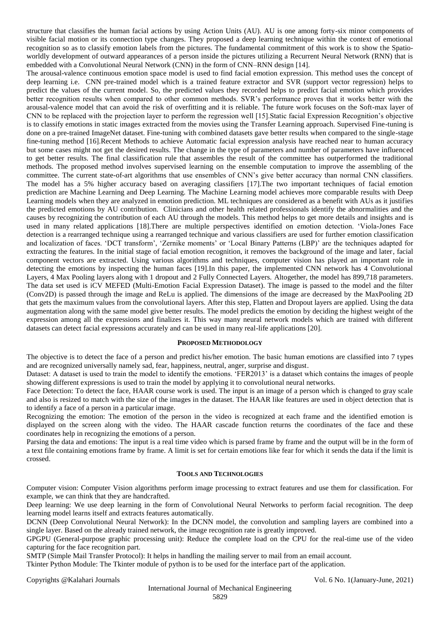structure that classifies the human facial actions by using Action Units (AU). AU is one among forty-six minor components of visible facial motion or its connection type changes. They proposed a deep learning technique within the context of emotional recognition so as to classify emotion labels from the pictures. The fundamental commitment of this work is to show the Spatioworldly development of outward appearances of a person inside the pictures utilizing a Recurrent Neural Network (RNN) that is embedded with a Convolutional Neural Network (CNN) in the form of CNN–RNN design [14].

The arousal-valence continuous emotion space model is used to find facial emotion expression. This method uses the concept of deep learning i.e. CNN pre-trained model which is a trained feature extractor and SVR (support vector regression) helps to predict the values of the current model. So, the predicted values they recorded helps to predict facial emotion which provides better recognition results when compared to other common methods. SVR's performance proves that it works better with the arousal-valence model that can avoid the risk of overfitting and it is reliable. The future work focuses on the Soft-max layer of CNN to be replaced with the projection layer to perform the regression well [15].Static facial Expression Recognition's objective is to classify emotions in static images extracted from the movies using the Transfer Learning approach. Supervised Fine-tuning is done on a pre-trained ImageNet dataset. Fine-tuning with combined datasets gave better results when compared to the single-stage fine-tuning method [16].Recent Methods to achieve Automatic facial expression analysis have reached near to human accuracy but some cases might not get the desired results. The change in the type of parameters and number of parameters have influenced to get better results. The final classification rule that assembles the result of the committee has outperformed the traditional methods. The proposed method involves supervised learning on the ensemble computation to improve the assembling of the committee. The current state-of-art algorithms that use ensembles of CNN's give better accuracy than normal CNN classifiers. The model has a 5% higher accuracy based on averaging classifiers [17].The two important techniques of facial emotion prediction are Machine Learning and Deep Learning. The Machine Learning model achieves more comparable results with Deep Learning models when they are analyzed in emotion prediction. ML techniques are considered as a benefit with AUs as it justifies the predicted emotions by AU contribution. Clinicians and other health related professionals identify the abnormalities and the causes by recognizing the contribution of each AU through the models. This method helps to get more details and insights and is used in many related applications [18].There are multiple perspectives identified on emotion detection. 'Viola-Jones Face detection is a rearranged technique using a rearranged technique and various classifiers are used for further emotion classification and localization of faces. 'DCT transform', 'Zernike moments' or 'Local Binary Patterns (LBP)' are the techniques adapted for extracting the features. In the initial stage of facial emotion recognition, it removes the background of the image and later, facial component vectors are extracted. Using various algorithms and techniques, computer vision has played an important role in detecting the emotions by inspecting the human faces [19].In this paper, the implemented CNN network has 4 Convolutional Layers, 4 Max Pooling layers along with 1 dropout and 2 Fully Connected Layers. Altogether, the model has 899,718 parameters. The data set used is iCV MEFED (Multi-Emotion Facial Expression Dataset). The image is passed to the model and the filter (Conv2D) is passed through the image and ReLu is applied. The dimensions of the image are decreased by the MaxPooling 2D that gets the maximum values from the convolutional layers. After this step, Flatten and Dropout layers are applied. Using the data augmentation along with the same model give better results. The model predicts the emotion by deciding the highest weight of the expression among all the expressions and finalizes it. This way many neural network models which are trained with different datasets can detect facial expressions accurately and can be used in many real-life applications [20].

# **PROPOSED METHODOLOGY**

The objective is to detect the face of a person and predict his/her emotion. The basic human emotions are classified into 7 types and are recognized universally namely sad, fear, happiness, neutral, anger, surprise and disgust.

Dataset: A dataset is used to train the model to identify the emotions. 'FER2013' is a dataset which contains the images of people showing different expressions is used to train the model by applying it to convolutional neural networks.

Face Detection: To detect the face, HAAR course work is used. The input is an image of a person which is changed to gray scale and also is resized to match with the size of the images in the dataset. The HAAR like features are used in object detection that is to identify a face of a person in a particular image.

Recognizing the emotion: The emotion of the person in the video is recognized at each frame and the identified emotion is displayed on the screen along with the video. The HAAR cascade function returns the coordinates of the face and these coordinates help in recognizing the emotions of a person.

Parsing the data and emotions: The input is a real time video which is parsed frame by frame and the output will be in the form of a text file containing emotions frame by frame. A limit is set for certain emotions like fear for which it sends the data if the limit is crossed.

## **TOOLS AND TECHNOLOGIES**

Computer vision: Computer Vision algorithms perform image processing to extract features and use them for classification. For example, we can think that they are handcrafted.

Deep learning: We use deep learning in the form of Convolutional Neural Networks to perform facial recognition. The deep learning model learns itself and extracts features automatically.

DCNN (Deep Convolutional Neural Network): In the DCNN model, the convolution and sampling layers are combined into a single layer. Based on the already trained network, the image recognition rate is greatly improved.

GPGPU (General-purpose graphic processing unit): Reduce the complete load on the CPU for the real-time use of the video capturing for the face recognition part.

SMTP (Simple Mail Transfer Protocol): It helps in handling the mailing server to mail from an email account.

Tkinter Python Module: The Tkinter module of python is to be used for the interface part of the application.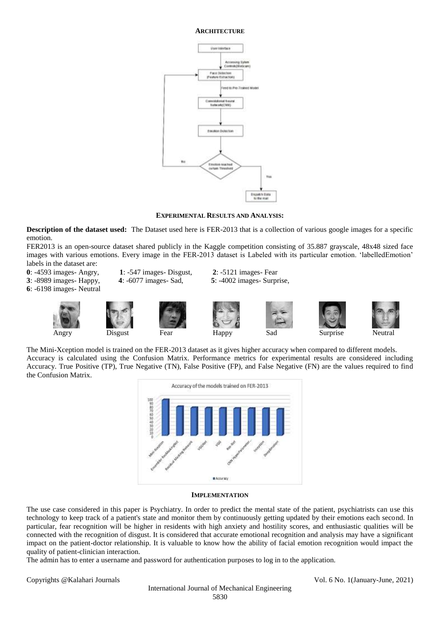#### **ARCHITECTURE**



**EXPERIMENTAL RESULTS AND ANALYSIS:**

**Description of the dataset used:** The Dataset used here is FER-2013 that is a collection of various google images for a specific emotion.

FER2013 is an open-source dataset shared publicly in the Kaggle competition consisting of 35.887 grayscale, 48x48 sized face images with various emotions. Every image in the FER-2013 dataset is Labeled with its particular emotion. 'labelledEmotion' labels in the dataset are:

**0**: -4593 images- Angry, **1**: -547 images- Disgust, **2**: -5121 images- Fear **3**: -8989 images- Happy, **4**: -6077 images- Sad, **5**: -4002 images- Surprise, **6**: -6198 images- Neutral











The Mini-Xception model is trained on the FER-2013 dataset as it gives higher accuracy when compared to different models. Accuracy is calculated using the Confusion Matrix. Performance metrics for experimental results are considered including Accuracy. True Positive (TP), True Negative (TN), False Positive (FP), and False Negative (FN) are the values required to find the Confusion Matrix.



## **IMPLEMENTATION**

The use case considered in this paper is Psychiatry. In order to predict the mental state of the patient, psychiatrists can use this technology to keep track of a patient's state and monitor them by continuously getting updated by their emotions each second. In particular, fear recognition will be higher in residents with high anxiety and hostility scores, and enthusiastic qualities will be connected with the recognition of disgust. It is considered that accurate emotional recognition and analysis may have a significant impact on the patient-doctor relationship. It is valuable to know how the ability of facial emotion recognition would impact the quality of patient-clinician interaction.

The admin has to enter a username and password for authentication purposes to log in to the application.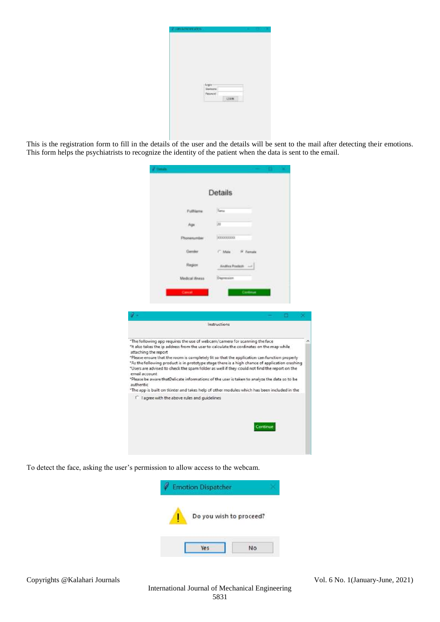| topa<br>Gerkene                 |       |  |  |
|---------------------------------|-------|--|--|
| <b>Ferrent</b><br><b>MARTIN</b> | [COM] |  |  |
|                                 |       |  |  |

This is the registration form to fill in the details of the user and the details will be sent to the mail after detecting their emotions. This form helps the psychiatrists to recognize the identity of the patient when the data is sent to the email.

|                                                    |                                                          | Details                                                                                                                                                                                                                                                                                                                                                                                                                                                                                                                                                                                                                                                                 |
|----------------------------------------------------|----------------------------------------------------------|-------------------------------------------------------------------------------------------------------------------------------------------------------------------------------------------------------------------------------------------------------------------------------------------------------------------------------------------------------------------------------------------------------------------------------------------------------------------------------------------------------------------------------------------------------------------------------------------------------------------------------------------------------------------------|
|                                                    | <b>FullVame</b>                                          | Tenu                                                                                                                                                                                                                                                                                                                                                                                                                                                                                                                                                                                                                                                                    |
|                                                    | Age                                                      | 39                                                                                                                                                                                                                                                                                                                                                                                                                                                                                                                                                                                                                                                                      |
|                                                    | Phonenumber                                              | 300000000                                                                                                                                                                                                                                                                                                                                                                                                                                                                                                                                                                                                                                                               |
|                                                    | Gemler                                                   | C. Male<br>(# Farmala)                                                                                                                                                                                                                                                                                                                                                                                                                                                                                                                                                                                                                                                  |
|                                                    | Region                                                   | Andrea Poutech                                                                                                                                                                                                                                                                                                                                                                                                                                                                                                                                                                                                                                                          |
|                                                    | Medical Siness                                           | Digenssion                                                                                                                                                                                                                                                                                                                                                                                                                                                                                                                                                                                                                                                              |
|                                                    | Cancel                                                   | Cantinue                                                                                                                                                                                                                                                                                                                                                                                                                                                                                                                                                                                                                                                                |
|                                                    |                                                          |                                                                                                                                                                                                                                                                                                                                                                                                                                                                                                                                                                                                                                                                         |
|                                                    |                                                          |                                                                                                                                                                                                                                                                                                                                                                                                                                                                                                                                                                                                                                                                         |
|                                                    |                                                          | Instructions                                                                                                                                                                                                                                                                                                                                                                                                                                                                                                                                                                                                                                                            |
|                                                    |                                                          |                                                                                                                                                                                                                                                                                                                                                                                                                                                                                                                                                                                                                                                                         |
| attaching the report<br>email account<br>authentic |                                                          | "The following app requires the use of webcam/camera for scanning the face<br>"It also takes the ip address from the user to calculate the cordinates on the map while<br>*Please ensure that the room is completely lit so that the application can function properly<br>"As the following product is in prototype stage there is a high chance of application crashing<br>*Users are advised to check the spam folder as well if they could not find the report on the<br>*Please be aware thatDelicate informations of the user is taken to analyze the data so to be<br>"The app is built on tkinter and takes help of other modules which has been included in the |
|                                                    | <sup>1</sup> I agree with the above rules and guidelines |                                                                                                                                                                                                                                                                                                                                                                                                                                                                                                                                                                                                                                                                         |
|                                                    |                                                          | Continue                                                                                                                                                                                                                                                                                                                                                                                                                                                                                                                                                                                                                                                                |

To detect the face, asking the user's permission to allow access to the webcam.

×

| <b>Emotion Dispatcher</b> |  |
|---------------------------|--|
| Do you wish to proceed?   |  |
|                           |  |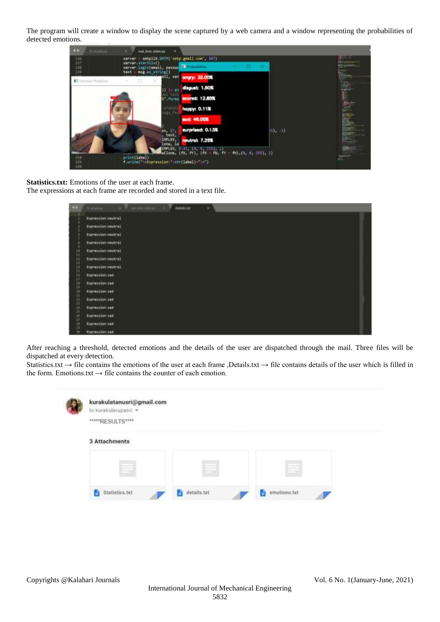The program will create a window to display the scene captured by a web camera and a window representing the probabilities of detected emotions.



**Statistics.txt:** Emotions of the user at each frame.

The expressions at each frame are recorded and stored in a text file.

| <b>ALC</b>           | a miles also a 7<br><b>SNOWA OF</b> | ٠ |  |
|----------------------|-------------------------------------|---|--|
|                      | Expression meatred                  |   |  |
|                      | Expression meutral                  |   |  |
|                      | Expressionimeutral                  |   |  |
|                      | Expression:neutral                  |   |  |
|                      | Expressionineutral                  |   |  |
|                      | ExpressSon (neutral)                |   |  |
|                      | Expression meutral                  |   |  |
|                      | <b>Repressionsed</b>                |   |  |
|                      | Expressionised                      |   |  |
|                      | fapression: and                     |   |  |
|                      | Expression and                      |   |  |
|                      | typressimitized                     |   |  |
|                      | Expression (and                     |   |  |
| 知音音节目音音音节音音音音音音音音音音音 | Expression/sed                      |   |  |
|                      | Espressionisad                      |   |  |

After reaching a threshold, detected emotions and the details of the user are dispatched through the mail. Three files will be dispatched at every detection.

Statistics.txt  $\rightarrow$  file contains the emotions of the user at each frame ,Details.txt  $\rightarrow$  file contains details of the user which is filled in the form. Emotions.txt  $\rightarrow$  file contains the counter of each emotion.

|  | kurakulatanusri@gmail.com<br>to kurakularupasri =<br>****RESULTS**** |                             |              |  |
|--|----------------------------------------------------------------------|-----------------------------|--------------|--|
|  | 3 Attachments                                                        |                             |              |  |
|  |                                                                      | --<br>×                     | _            |  |
|  | Statistics.txt<br><b>A STATISTICS</b>                                | details.txt<br>an na matang | emotions.txt |  |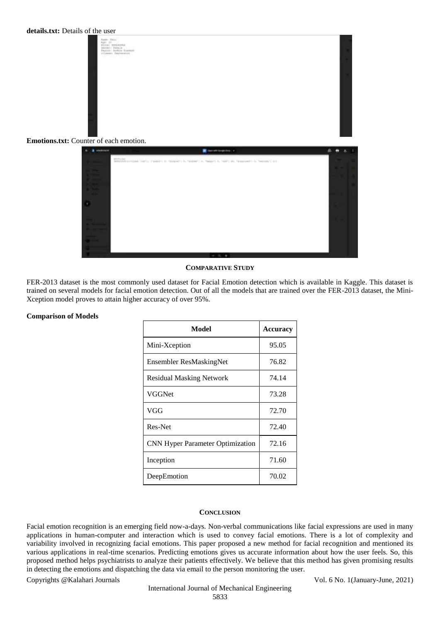



## **COMPARATIVE STUDY**

FER-2013 dataset is the most commonly used dataset for Facial Emotion detection which is available in Kaggle. This dataset is trained on several models for facial emotion detection. Out of all the models that are trained over the FER-2013 dataset, the Mini-Xception model proves to attain higher accuracy of over 95%.

## **Comparison of Models**

| Model                                   | <b>Accuracy</b> |  |
|-----------------------------------------|-----------------|--|
| Mini-Xception                           | 95.05           |  |
| Ensembler ResMaskingNet                 | 76.82           |  |
| <b>Residual Masking Network</b>         | 74.14           |  |
| <b>VGGNet</b>                           | 73.28           |  |
| VGG                                     | 72.70           |  |
| Res-Net                                 | 72.40           |  |
| <b>CNN Hyper Parameter Optimization</b> | 72.16           |  |
| Inception                               | 71.60           |  |
| DeepEmotion                             | 70.02           |  |

## **CONCLUSION**

Facial emotion recognition is an emerging field now-a-days. Non-verbal communications like facial expressions are used in many applications in human-computer and interaction which is used to convey facial emotions. There is a lot of complexity and variability involved in recognizing facial emotions. This paper proposed a new method for facial recognition and mentioned its various applications in real-time scenarios. Predicting emotions gives us accurate information about how the user feels. So, this proposed method helps psychiatrists to analyze their patients effectively. We believe that this method has given promising results in detecting the emotions and dispatching the data via email to the person monitoring the user.

Copyrights @Kalahari Journals Vol. 6 No. 1(January-June, 2021)